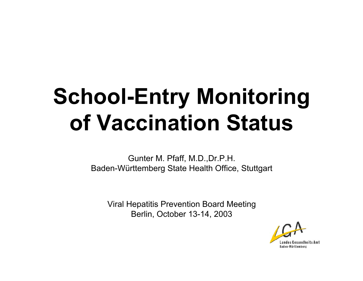# **School-Entry Monitoring of Vaccination Status**

Gunter M. Pfaff, M.D.,Dr.P.H. Baden-Württemberg State Health Office, Stuttgart

Viral Hepatitis Prevention Board Meeting Berlin, October 13-14, 2003

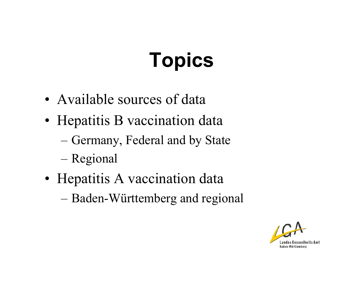# **Topics**

- Available sources of data
- Hepatitis B vaccination data
	- $-$ – Germany, Federal and by State
	- –Regional
- Hepatitis A vaccination data
	- $-$ Baden-Württemberg and regional

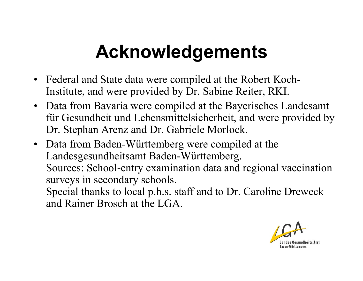## **Acknowledgements**

- •Federal and State data were compiled at the Robert Koch-Institute, and were provided by Dr. Sabine Reiter, RKI.
- •Data from Bavaria were compiled at the Bayerisches Landesamt für Gesundheit und Lebensmittelsicherheit, and were provided by Dr. Stephan Arenz and Dr. Gabriele Morlock.
- •Data from Baden-Württemberg were compiled at the Landesgesundheitsamt Baden-Württemberg. Sources: School-entry examination data and regional vaccination surveys in secondary schools. Special thanks to local p.h.s. staff and to Dr. Caroline Dreweck and Rainer Brosch at the LGA.

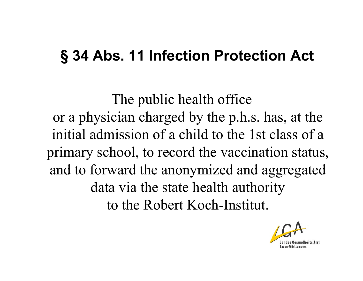### **§ 34 Abs. 11 Infection Protection Act**

The public health office or a physician charged by the p.h.s. has, at the initial admission of a child to the 1st class of a primary school, to record the vaccination status, and to forward the anonymized and aggregated data via the state health authority to the Robert Koch-Institut.

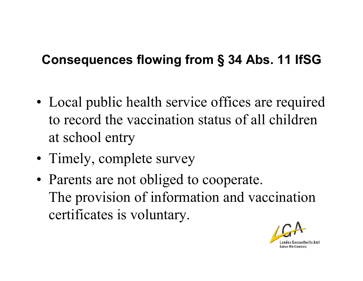#### **Consequences flowing from § 34 Abs. 11 IfSG**

- •• Local public health service offices are required to record the vaccination status of all children at school entry
- •• Timely, complete survey
- •• Parents are not obliged to cooperate. The provision of information and vaccination certificates is voluntary.

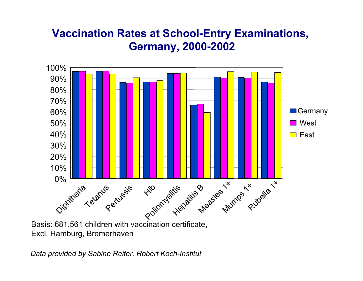#### **Vaccination Rates at School-Entry Examinations, Germany, 2000-2002**



Basis: 681.561 children with vaccination certificate, Excl. Hamburg, Bremerhaven

*Data provided by Sabine Reiter, Robert Koch-Institut*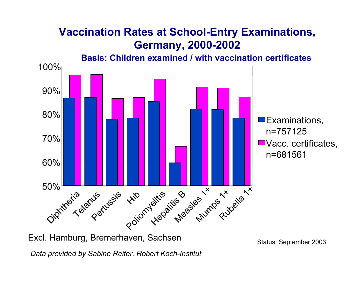#### **Vaccination Rates at School-Entry Examinations, Germany, 2000-2002**

**Basis: Children examined / with vaccination certificates**



Excl. Hamburg, Bremerhaven, Sachsen Summann Status: September 2003

*Data provided by Sabine Reiter, Robert Koch-Institut*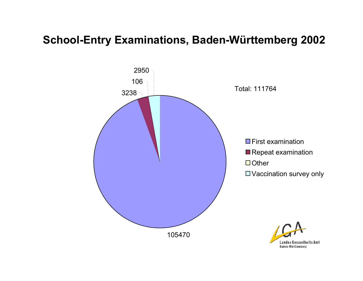#### **School-Entry Examinations, Baden-Württemberg 2002**



ts Amt Landes **Baden-Württemberg**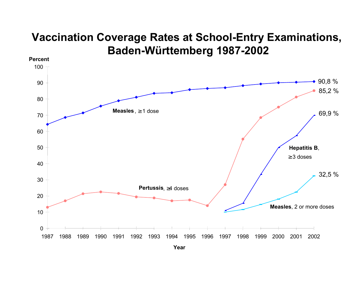#### **Vaccination Coverage Rates at School-Entry Examinations, Baden-Württemberg 1987-2002**

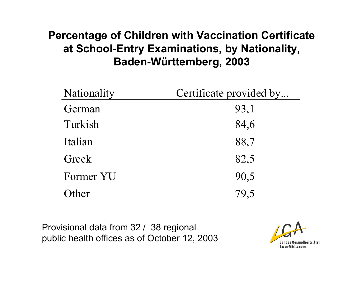#### **Percentage of Children with Vaccination Certificate at School-Entry Examinations, by Nationality, Baden-Württemberg, 2003**

| Nationality | Certificate provided by |
|-------------|-------------------------|
| German      | 93,1                    |
| Turkish     | 84,6                    |
| Italian     | 88,7                    |
| Greek       | 82,5                    |
| Former YU   | 90,5                    |
| ther        | 79,5                    |

Provisional data from 32 / 38 regional public health offices as of October 12, 2003

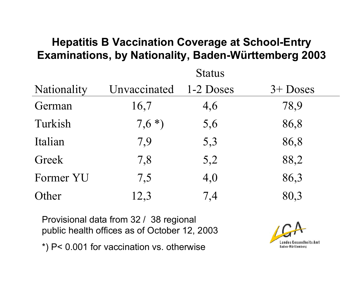#### **Hepatitis B Vaccination Coverage at School-Entry Examinations, by Nationality, Baden-Württemberg 2003**

 $\Omega$ tatus  $\sim$ 

| Nationality | Unvaccinated | 1-2 Doses | $3+$ Doses |
|-------------|--------------|-----------|------------|
| German      | 16,7         | 4,6       | 78,9       |
| Turkish     | $7,6*)$      | 5,6       | 86,8       |
| Italian     | 7,9          | 5,3       | 86,8       |
| Greek       | 7,8          | 5,2       | 88,2       |
| Former YU   | 7,5          | 4,0       | 86,3       |
| Other       | 12,3         | 7,4       | 80,3       |

Provisional data from 32 / 38 regional public health offices as of October 12, 2003 \*) P< 0.001 for vaccination vs. otherwise

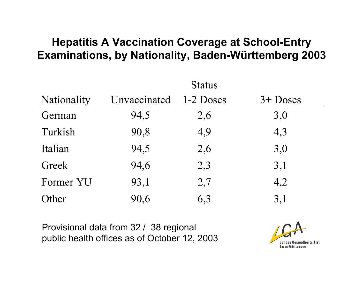#### **Hepatitis A Vaccination Coverage at School-Entry Examinations, by Nationality, Baden-Württemberg 2003**

|             |              | <b>Status</b> |             |
|-------------|--------------|---------------|-------------|
| Nationality | Unvaccinated | 1-2 Doses     | $3 +$ Doses |
| German      | 94,5         | 2,6           | 3,0         |
| Turkish     | 90,8         | 4,9           | 4,3         |
| Italian     | 94,5         | 2,6           | 3,0         |
| Greek       | 94,6         | 2,3           | 3,1         |
| Former YU   | 93,1         | 2,7           | 4,2         |
| Other       | 90,6         | 6,3           | 3,1         |

Provisional data from 32 / 38 regional public health offices as of October 12, 2003

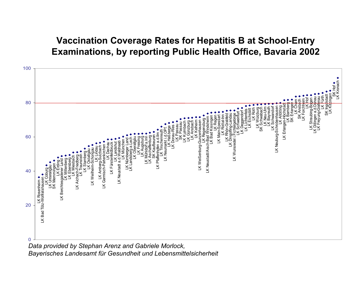#### **Vaccination Coverage Rates for Hepatitis B at School-Entry Examinations, by reporting Public Health Office, Bavaria 2002**



*Bayerisches Landesamt für Gesundheit und Lebensmittelsicherheit*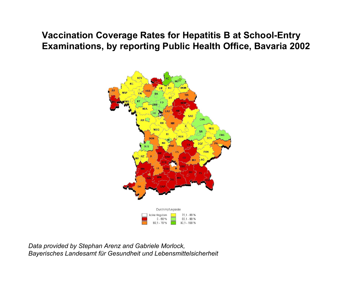#### **Vaccination Coverage Rates for Hepatitis B at School-Entry Examinations, by reporting Public Health Office, Bavaria 2002**



*Data provided by Stephan Arenz and Gabriele Morlock, Bayerisches Landesamt für Gesundheit und Lebensmittelsicherheit*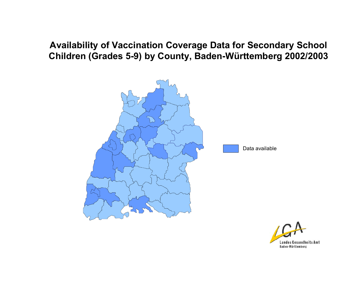#### **Availability of Vaccination Coverage Data for Secondary School Children (Grades 5-9) by County, Baden-Württemberg 2002/2003**



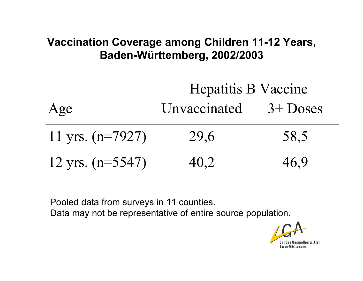#### **Vaccination Coverage among Children 11-12 Years, Baden-Württemberg, 2002/2003**

## Hepatitis B V accine Age Unvaccinated 3+ Doses 11 y rs. (n=7927) 29,6 58,5 12 y rs. (n=5547) 40,2 46,9

Pooled data from surveys in 11 counties. Data may not be representative of entire source population.